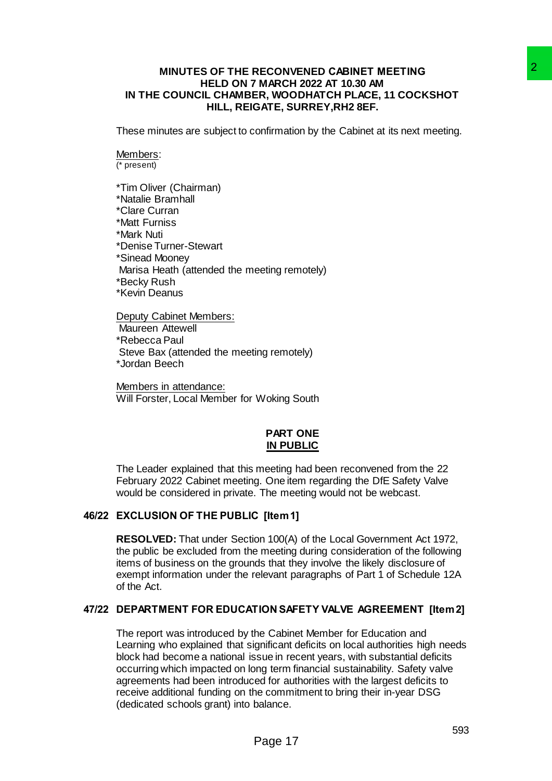### **MINUTES OF THE RECONVENED CABINET MEETING HELD ON 7 MARCH 2022 AT 10.30 AM IN THE COUNCIL CHAMBER, WOODHATCH PLACE, 11 COCKSHOT HILL, REIGATE, SURREY,RH2 8EF.**

These minutes are subject to confirmation by the Cabinet at its next meeting.

# Members:

(\* present)

\*Tim Oliver (Chairman) \*Natalie Bramhall \*Clare Curran \*Matt Furniss \*Mark Nuti \*Denise Turner-Stewart \*Sinead Mooney Marisa Heath (attended the meeting remotely) \*Becky Rush \*Kevin Deanus

Deputy Cabinet Members: Maureen Attewell \*Rebecca Paul Steve Bax (attended the meeting remotely) \*Jordan Beech

Members in attendance: Will Forster, Local Member for Woking South

## **PART ONE IN PUBLIC**

The Leader explained that this meeting had been reconvened from the 22 February 2022 Cabinet meeting. One item regarding the DfE Safety Valve would be considered in private. The meeting would not be webcast.

## **46/22 EXCLUSION OF THE PUBLIC [Item 1]**

**RESOLVED:** That under Section 100(A) of the Local Government Act 1972, the public be excluded from the meeting during consideration of the following items of business on the grounds that they involve the likely disclosure of exempt information under the relevant paragraphs of Part 1 of Schedule 12A of the Act.

## **47/22 DEPARTMENT FOR EDUCATION SAFETY VALVE AGREEMENT [Item 2]**

The report was introduced by the Cabinet Member for Education and Learning who explained that significant deficits on local authorities high needs block had become a national issue in recent years, with substantial deficits occurring which impacted on long term financial sustainability. Safety valve agreements had been introduced for authorities with the largest deficits to receive additional funding on the commitment to bring their in-year DSG (dedicated schools grant) into balance. RECONVENED CABINET MEETING<br>
THARCH 2022 AT 10.30 AM<br>
THARCH 2022 AT 10.30 AM<br>
TR, WOODHATCH PLACE, 11 COCKSHOT<br>
GR, WOODHATCH PLACE, 11 COCKSHOT<br>
CARE, SURREY, RH2 8EF.<br>
confirmation by the Cabinet at its next meeting.<br>
me